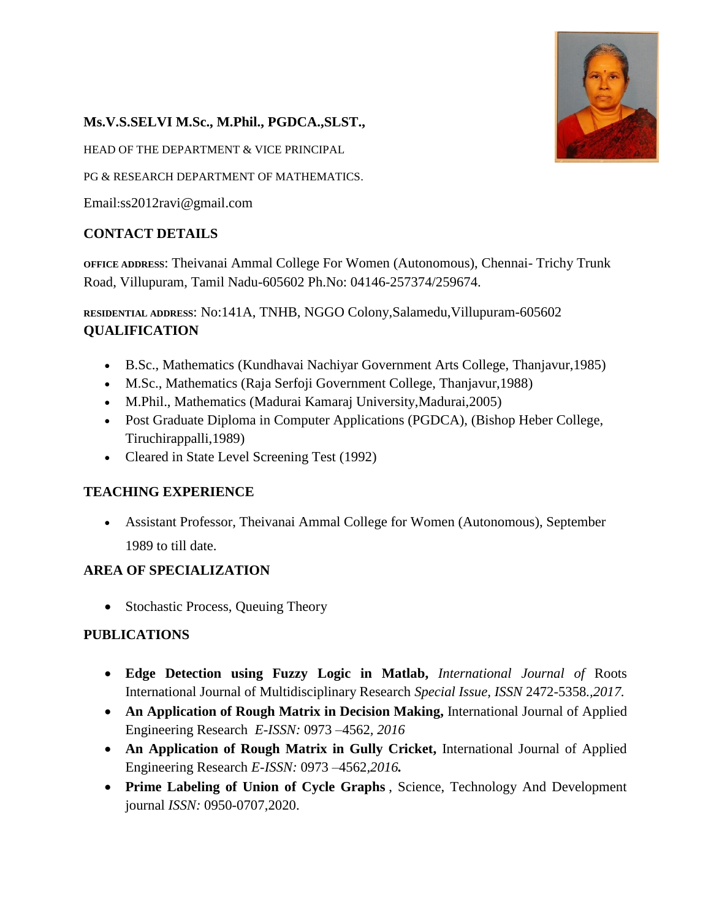

# **Ms.V.S.SELVI M.Sc., M.Phil., PGDCA.,SLST.,**

HEAD OF THE DEPARTMENT & VICE PRINCIPAL

PG & RESEARCH DEPARTMENT OF MATHEMATICS.

Email:ss2012ravi@gmail.com

## **CONTACT DETAILS**

**OFFICE ADDRESS**: Theivanai Ammal College For Women (Autonomous), Chennai- Trichy Trunk Road, Villupuram, Tamil Nadu-605602 Ph.No: 04146-257374/259674.

**RESIDENTIAL ADDRESS**: No:141A, TNHB, NGGO Colony,Salamedu,Villupuram-605602 **QUALIFICATION**

- B.Sc., Mathematics (Kundhavai Nachiyar Government Arts College, Thanjavur,1985)
- M.Sc., Mathematics (Raja Serfoji Government College, Thanjavur,1988)
- M.Phil., Mathematics (Madurai Kamaraj University,Madurai,2005)
- Post Graduate Diploma in Computer Applications (PGDCA), (Bishop Heber College, Tiruchirappalli,1989)
- Cleared in State Level Screening Test (1992)

### **TEACHING EXPERIENCE**

 Assistant Professor, Theivanai Ammal College for Women (Autonomous), September 1989 to till date.

### **AREA OF SPECIALIZATION**

• Stochastic Process, Queuing Theory

### **PUBLICATIONS**

- **Edge Detection using Fuzzy Logic in Matlab,** *International Journal of* Roots International Journal of Multidisciplinary Research *Special Issue, ISSN* 2472-5358*.,2017.*
- An Application of Rough Matrix in Decision Making, International Journal of Applied Engineering Research *E-ISSN:* 0973 –4562*, 2016*
- **An Application of Rough Matrix in Gully Cricket,** International Journal of Applied Engineering Research *E-ISSN:* 0973 –4562*,2016.*
- **Prime Labeling of Union of Cycle Graphs** , Science, Technology And Development journal *ISSN:* 0950-0707,2020.